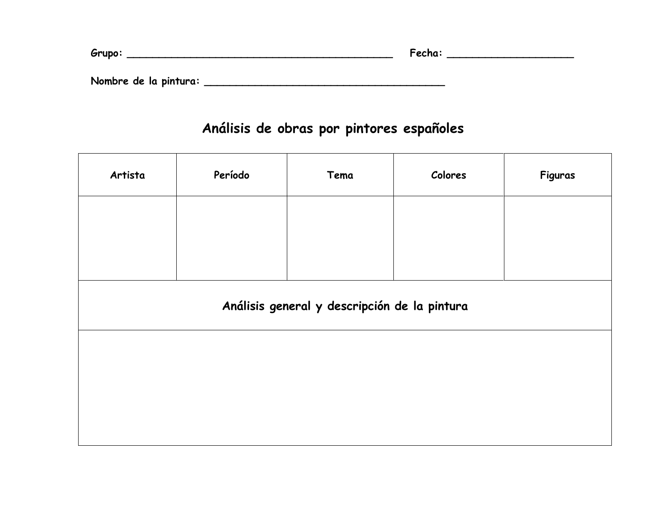| Grupo:                | Fecha: |
|-----------------------|--------|
|                       |        |
| Nombre de la pintura: |        |

## **Análisis de obras por pintores españoles**

| Artista                                      | Período | Tema | Colores | Figuras |  |  |
|----------------------------------------------|---------|------|---------|---------|--|--|
|                                              |         |      |         |         |  |  |
|                                              |         |      |         |         |  |  |
| Análisis general y descripción de la pintura |         |      |         |         |  |  |
|                                              |         |      |         |         |  |  |
|                                              |         |      |         |         |  |  |
|                                              |         |      |         |         |  |  |